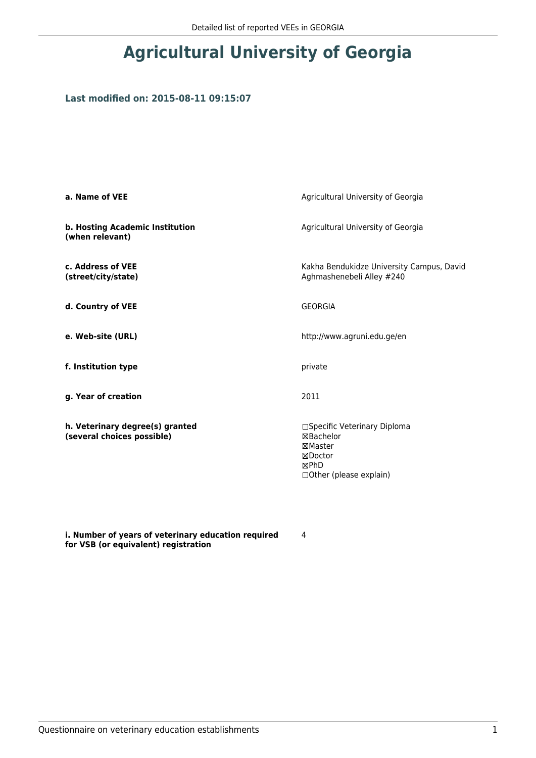## **Agricultural University of Georgia**

## **Last modified on: 2015-08-11 09:15:07**

| a. Name of VEE                                                | Agricultural University of Georgia                                                                  |  |
|---------------------------------------------------------------|-----------------------------------------------------------------------------------------------------|--|
| b. Hosting Academic Institution<br>(when relevant)            | Agricultural University of Georgia                                                                  |  |
| c. Address of VEE<br>(street/city/state)                      | Kakha Bendukidze University Campus, David<br>Aghmashenebeli Alley #240                              |  |
| d. Country of VEE                                             | <b>GEORGIA</b>                                                                                      |  |
| e. Web-site (URL)                                             | http://www.agruni.edu.ge/en                                                                         |  |
| f. Institution type                                           | private                                                                                             |  |
| g. Year of creation                                           | 2011                                                                                                |  |
| h. Veterinary degree(s) granted<br>(several choices possible) | □Specific Veterinary Diploma<br>⊠Bachelor<br>⊠Master<br>⊠Doctor<br>⊠PhD<br>□ Other (please explain) |  |

**i. Number of years of veterinary education required for VSB (or equivalent) registration**

4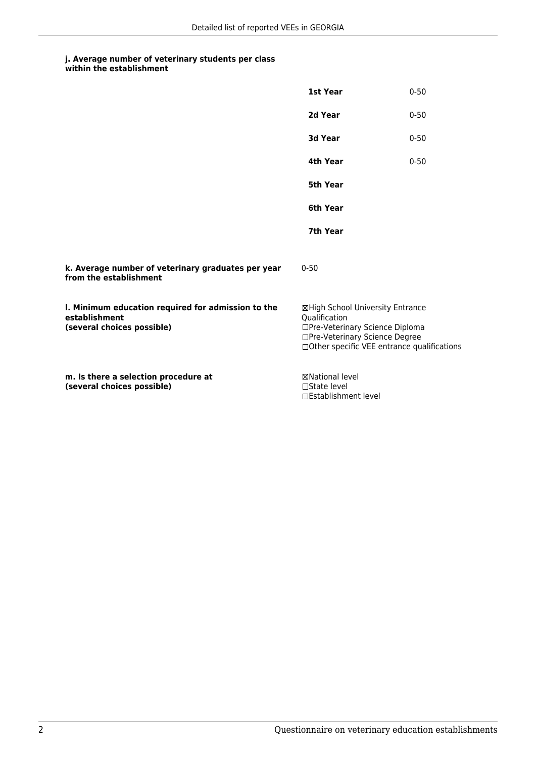## **j. Average number of veterinary students per class within the establishment**

|                                                                                                   | 1st Year                                                                                                                                                              | $0 - 50$ |
|---------------------------------------------------------------------------------------------------|-----------------------------------------------------------------------------------------------------------------------------------------------------------------------|----------|
|                                                                                                   | 2d Year                                                                                                                                                               | $0 - 50$ |
|                                                                                                   | 3d Year                                                                                                                                                               | $0 - 50$ |
|                                                                                                   | 4th Year                                                                                                                                                              | $0 - 50$ |
|                                                                                                   | 5th Year                                                                                                                                                              |          |
|                                                                                                   | 6th Year                                                                                                                                                              |          |
|                                                                                                   | 7th Year                                                                                                                                                              |          |
| k. Average number of veterinary graduates per year<br>from the establishment                      | $0 - 50$                                                                                                                                                              |          |
| I. Minimum education required for admission to the<br>establishment<br>(several choices possible) | ⊠High School University Entrance<br>Qualification<br>□Pre-Veterinary Science Diploma<br>□Pre-Veterinary Science Degree<br>□Other specific VEE entrance qualifications |          |
| m. Is there a selection procedure at<br>(several choices possible)                                | <b>⊠National level</b><br>$\Box$ State level<br>□Establishment level                                                                                                  |          |